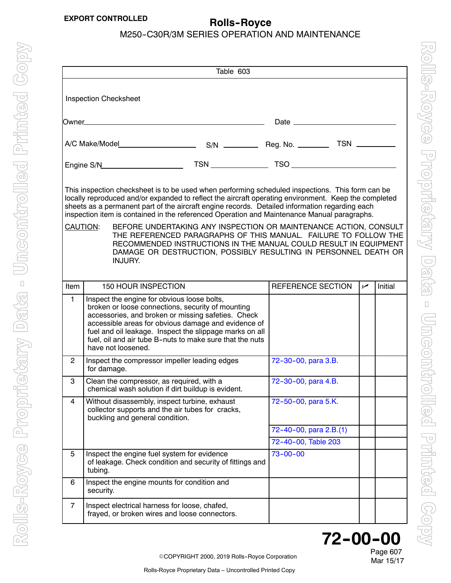<span id="page-0-0"></span>

| Table 603                                                                                                                                                                                                                                                                                                                                                                                                                                                                                                                                                                                                                                                                                                      |                                                                                                                                                                                                                                                                                                                                                            |                          |            |         |  |
|----------------------------------------------------------------------------------------------------------------------------------------------------------------------------------------------------------------------------------------------------------------------------------------------------------------------------------------------------------------------------------------------------------------------------------------------------------------------------------------------------------------------------------------------------------------------------------------------------------------------------------------------------------------------------------------------------------------|------------------------------------------------------------------------------------------------------------------------------------------------------------------------------------------------------------------------------------------------------------------------------------------------------------------------------------------------------------|--------------------------|------------|---------|--|
| <b>Inspection Checksheet</b>                                                                                                                                                                                                                                                                                                                                                                                                                                                                                                                                                                                                                                                                                   |                                                                                                                                                                                                                                                                                                                                                            |                          |            |         |  |
|                                                                                                                                                                                                                                                                                                                                                                                                                                                                                                                                                                                                                                                                                                                | <u> IOwner - American State (1986), et al. 1999 - American State (1999), et al. 1999 - American State (1999), et</u>                                                                                                                                                                                                                                       |                          |            |         |  |
|                                                                                                                                                                                                                                                                                                                                                                                                                                                                                                                                                                                                                                                                                                                |                                                                                                                                                                                                                                                                                                                                                            |                          |            |         |  |
|                                                                                                                                                                                                                                                                                                                                                                                                                                                                                                                                                                                                                                                                                                                |                                                                                                                                                                                                                                                                                                                                                            |                          |            |         |  |
| This inspection checksheet is to be used when performing scheduled inspections. This form can be<br>locally reproduced and/or expanded to reflect the aircraft operating environment. Keep the completed<br>sheets as a permanent part of the aircraft engine records. Detailed information regarding each<br>inspection item is contained in the referenced Operation and Maintenance Manual paragraphs.<br>CAUTION:<br>BEFORE UNDERTAKING ANY INSPECTION OR MAINTENANCE ACTION, CONSULT<br>THE REFERENCED PARAGRAPHS OF THIS MANUAL. FAILURE TO FOLLOW THE<br>RECOMMENDED INSTRUCTIONS IN THE MANUAL COULD RESULT IN EQUIPMENT<br>DAMAGE OR DESTRUCTION, POSSIBLY RESULTING IN PERSONNEL DEATH OR<br>INJURY. |                                                                                                                                                                                                                                                                                                                                                            |                          |            |         |  |
| Item                                                                                                                                                                                                                                                                                                                                                                                                                                                                                                                                                                                                                                                                                                           | <b>150 HOUR INSPECTION</b>                                                                                                                                                                                                                                                                                                                                 | <b>REFERENCE SECTION</b> | $\sqrt{ }$ | Initial |  |
| $\mathbf{1}$                                                                                                                                                                                                                                                                                                                                                                                                                                                                                                                                                                                                                                                                                                   | Inspect the engine for obvious loose bolts,<br>broken or loose connections, security of mounting<br>accessories, and broken or missing safeties. Check<br>accessible areas for obvious damage and evidence of<br>fuel and oil leakage. Inspect the slippage marks on all<br>fuel, oil and air tube B-nuts to make sure that the nuts<br>have not loosened. |                          |            |         |  |
| $\overline{2}$                                                                                                                                                                                                                                                                                                                                                                                                                                                                                                                                                                                                                                                                                                 | Inspect the compressor impeller leading edges<br>for damage.                                                                                                                                                                                                                                                                                               | 72-30-00, para 3.B.      |            |         |  |
| 3                                                                                                                                                                                                                                                                                                                                                                                                                                                                                                                                                                                                                                                                                                              | Clean the compressor, as required, with a<br>chemical wash solution if dirt buildup is evident.                                                                                                                                                                                                                                                            | 72-30-00, para 4.B.      |            |         |  |
| 4                                                                                                                                                                                                                                                                                                                                                                                                                                                                                                                                                                                                                                                                                                              | Without disassembly, inspect turbine, exhaust<br>collector supports and the air tubes for cracks,<br>buckling and general condition.                                                                                                                                                                                                                       | 72-50-00, para 5.K.      |            |         |  |
|                                                                                                                                                                                                                                                                                                                                                                                                                                                                                                                                                                                                                                                                                                                |                                                                                                                                                                                                                                                                                                                                                            | 72-40-00, para 2.B.(1)   |            |         |  |
|                                                                                                                                                                                                                                                                                                                                                                                                                                                                                                                                                                                                                                                                                                                |                                                                                                                                                                                                                                                                                                                                                            | 72-40-00, Table 203      |            |         |  |
| 5                                                                                                                                                                                                                                                                                                                                                                                                                                                                                                                                                                                                                                                                                                              | Inspect the engine fuel system for evidence<br>of leakage. Check condition and security of fittings and<br>tubing.                                                                                                                                                                                                                                         | $73 - 00 - 00$           |            |         |  |
| 6                                                                                                                                                                                                                                                                                                                                                                                                                                                                                                                                                                                                                                                                                                              | Inspect the engine mounts for condition and<br>security.                                                                                                                                                                                                                                                                                                   |                          |            |         |  |
| $\overline{7}$                                                                                                                                                                                                                                                                                                                                                                                                                                                                                                                                                                                                                                                                                                 | Inspect electrical harness for loose, chafed,<br>frayed, or broken wires and loose connectors.                                                                                                                                                                                                                                                             |                          |            |         |  |



Mar 15/17

©COPYRIGHT 2000, 2019 Rolls-Royce Corporation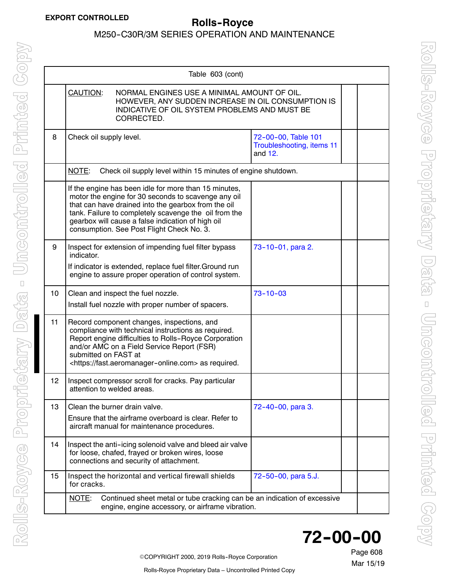<span id="page-1-0"></span>

| Table 603 (cont) |                                                                                                                                                                                                                                                                                                                                |                                                                |  |
|------------------|--------------------------------------------------------------------------------------------------------------------------------------------------------------------------------------------------------------------------------------------------------------------------------------------------------------------------------|----------------------------------------------------------------|--|
|                  | <b>CAUTION:</b><br>NORMAL ENGINES USE A MINIMAL AMOUNT OF OIL.<br>HOWEVER, ANY SUDDEN INCREASE IN OIL CONSUMPTION IS<br>INDICATIVE OF OIL SYSTEM PROBLEMS AND MUST BE<br>CORRECTED.                                                                                                                                            |                                                                |  |
| 8                | Check oil supply level.                                                                                                                                                                                                                                                                                                        | 72-00-00, Table 101<br>Troubleshooting, items 11<br>and $12$ . |  |
|                  | NOTE:<br>Check oil supply level within 15 minutes of engine shutdown.                                                                                                                                                                                                                                                          |                                                                |  |
|                  | If the engine has been idle for more than 15 minutes,<br>motor the engine for 30 seconds to scavenge any oil<br>that can have drained into the gearbox from the oil<br>tank. Failure to completely scavenge the oil from the<br>gearbox will cause a false indication of high oil<br>consumption. See Post Flight Check No. 3. |                                                                |  |
| 9                | Inspect for extension of impending fuel filter bypass<br>indicator.<br>If indicator is extended, replace fuel filter. Ground run<br>engine to assure proper operation of control system.                                                                                                                                       | 73-10-01, para 2.                                              |  |
| 10               | Clean and inspect the fuel nozzle.<br>Install fuel nozzle with proper number of spacers.                                                                                                                                                                                                                                       | $73 - 10 - 03$                                                 |  |
| 11               | Record component changes, inspections, and<br>compliance with technical instructions as required.<br>Report engine difficulties to Rolls-Royce Corporation<br>and/or AMC on a Field Service Report (FSR)<br>submitted on FAST at<br><https: fast.aeromanager-online.com=""> as required.</https:>                              |                                                                |  |
| 12               | Inspect compressor scroll for cracks. Pay particular<br>attention to welded areas.                                                                                                                                                                                                                                             |                                                                |  |
| 13               | Clean the burner drain valve.<br>Ensure that the airframe overboard is clear. Refer to<br>aircraft manual for maintenance procedures.                                                                                                                                                                                          | 72-40-00, para 3.                                              |  |
| 14               | Inspect the anti-icing solenoid valve and bleed air valve<br>for loose, chafed, frayed or broken wires, loose<br>connections and security of attachment.                                                                                                                                                                       |                                                                |  |
| 15               | Inspect the horizontal and vertical firewall shields<br>for cracks.                                                                                                                                                                                                                                                            | 72-50-00, para 5.J.                                            |  |
|                  | NOTE:<br>Continued sheet metal or tube cracking can be an indication of excessive<br>engine, engine accessory, or airframe vibration.                                                                                                                                                                                          |                                                                |  |

**72--00--00**

Mar 15/19 Page 608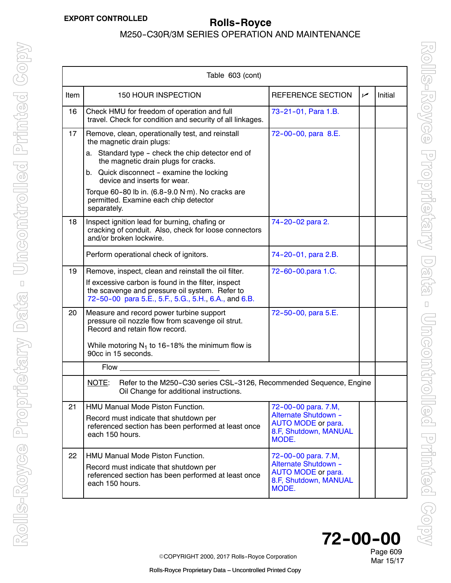<span id="page-2-0"></span>

| Table 603 (cont) |                                                                                                                                                               |                                                                                     |     |         |
|------------------|---------------------------------------------------------------------------------------------------------------------------------------------------------------|-------------------------------------------------------------------------------------|-----|---------|
| Item             | <b>150 HOUR INSPECTION</b>                                                                                                                                    | REFERENCE SECTION                                                                   | سما | Initial |
| 16               | Check HMU for freedom of operation and full<br>travel. Check for condition and security of all linkages.                                                      | 73-21-01, Para 1.B.                                                                 |     |         |
| 17               | Remove, clean, operationally test, and reinstall<br>the magnetic drain plugs:                                                                                 | 72-00-00, para 8.E.                                                                 |     |         |
|                  | a. Standard type - check the chip detector end of<br>the magnetic drain plugs for cracks.                                                                     |                                                                                     |     |         |
|                  | b. Quick disconnect - examine the locking<br>device and inserts for wear.                                                                                     |                                                                                     |     |         |
|                  | Torque 60-80 lb in. (6.8-9.0 N·m). No cracks are<br>permitted. Examine each chip detector<br>separately.                                                      |                                                                                     |     |         |
| 18               | Inspect ignition lead for burning, chafing or<br>cracking of conduit. Also, check for loose connectors<br>and/or broken lockwire.                             | 74-20-02 para 2.                                                                    |     |         |
|                  | Perform operational check of ignitors.                                                                                                                        | 74-20-01, para 2.B.                                                                 |     |         |
| 19               | Remove, inspect, clean and reinstall the oil filter.                                                                                                          | 72-60-00.para 1.C.                                                                  |     |         |
|                  | If excessive carbon is found in the filter, inspect<br>the scavenge and pressure oil system. Refer to<br>72-50-00 para 5.E., 5.F., 5.G., 5.H., 6.A., and 6.B. |                                                                                     |     |         |
| 20               | Measure and record power turbine support<br>pressure oil nozzle flow from scavenge oil strut.<br>Record and retain flow record.                               | 72-50-00, para 5.E.                                                                 |     |         |
|                  | While motoring $N_1$ to 16-18% the minimum flow is<br>90cc in 15 seconds.                                                                                     |                                                                                     |     |         |
|                  | Flow                                                                                                                                                          |                                                                                     |     |         |
|                  | Refer to the M250-C30 series CSL-3126, Recommended Sequence, Engine<br><u>NOTE:</u><br>Oil Change for additional instructions.                                |                                                                                     |     |         |
| 21               | HMU Manual Mode Piston Function.                                                                                                                              | 72-00-00 para. 7.M,                                                                 |     |         |
|                  | Record must indicate that shutdown per<br>referenced section has been performed at least once<br>each 150 hours.                                              | Alternate Shutdown -<br><b>AUTO MODE or para.</b><br>8.F, Shutdown, MANUAL<br>MODE. |     |         |
| 22               | HMU Manual Mode Piston Function.                                                                                                                              | 72-00-00 para. 7.M,                                                                 |     |         |
|                  | Record must indicate that shutdown per<br>referenced section has been performed at least once<br>each 150 hours.                                              | Alternate Shutdown -<br>AUTO MODE or para.<br>8.F, Shutdown, MANUAL<br>MODE.        |     |         |

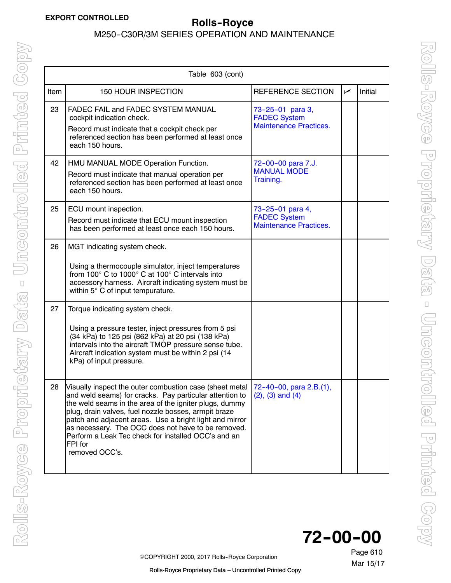<span id="page-3-0"></span>

|      | Table 603 (cont)                                                                                                                                                                                                                                                                                                                                                                                                                                                                          |                                                                          |     |         |
|------|-------------------------------------------------------------------------------------------------------------------------------------------------------------------------------------------------------------------------------------------------------------------------------------------------------------------------------------------------------------------------------------------------------------------------------------------------------------------------------------------|--------------------------------------------------------------------------|-----|---------|
| Item | <b>150 HOUR INSPECTION</b>                                                                                                                                                                                                                                                                                                                                                                                                                                                                | <b>REFERENCE SECTION</b>                                                 | سما | Initial |
| 23   | FADEC FAIL and FADEC SYSTEM MANUAL<br>cockpit indication check.<br>Record must indicate that a cockpit check per<br>referenced section has been performed at least once<br>each 150 hours.                                                                                                                                                                                                                                                                                                | 73-25-01 para 3,<br><b>FADEC System</b><br><b>Maintenance Practices.</b> |     |         |
| 42   | HMU MANUAL MODE Operation Function.<br>Record must indicate that manual operation per<br>referenced section has been performed at least once<br>each 150 hours.                                                                                                                                                                                                                                                                                                                           | 72-00-00 para 7.J.<br><b>MANUAL MODE</b><br>Training.                    |     |         |
| 25   | ECU mount inspection.<br>Record must indicate that ECU mount inspection<br>has been performed at least once each 150 hours.                                                                                                                                                                                                                                                                                                                                                               | 73-25-01 para 4,<br><b>FADEC System</b><br><b>Maintenance Practices.</b> |     |         |
| 26   | MGT indicating system check.<br>Using a thermocouple simulator, inject temperatures<br>from 100° C to 1000° C at 100° C intervals into<br>accessory harness. Aircraft indicating system must be<br>within 5° C of input tempurature.                                                                                                                                                                                                                                                      |                                                                          |     |         |
| 27   | Torque indicating system check.<br>Using a pressure tester, inject pressures from 5 psi<br>(34 kPa) to 125 psi (862 kPa) at 20 psi (138 kPa)<br>intervals into the aircraft TMOP pressure sense tube.<br>Aircraft indication system must be within 2 psi (14<br>kPa) of input pressure.                                                                                                                                                                                                   |                                                                          |     |         |
| 28   | Visually inspect the outer combustion case (sheet metal $ 72-40-00$ , para 2.B.(1),<br>and weld seams) for cracks. Pay particular attention to $(2)$ , (3) and (4)<br>the weld seams in the area of the igniter plugs, dummy<br>plug, drain valves, fuel nozzle bosses, armpit braze<br>patch and adjacent areas. Use a bright light and mirror<br>as necessary. The OCC does not have to be removed.<br>Perform a Leak Tec check for installed OCC's and an<br>FPI for<br>removed OCC's. |                                                                          |     |         |



©COPYRIGHT 2000, 2017 Rolls-Royce Corporation

Rolls-Royce Proprietary Data – Uncontrolled Printed Copy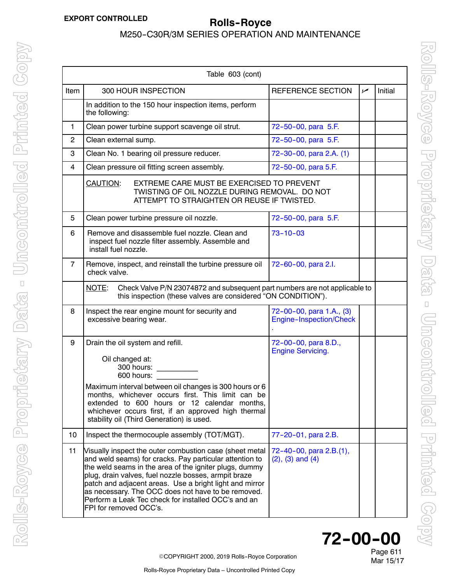<span id="page-4-0"></span>

|                                                                                                                                                             | Table 603 (cont)                                                                                                                                                                                                                                                                                                                                                                                                                       |                                                     |     |         |
|-------------------------------------------------------------------------------------------------------------------------------------------------------------|----------------------------------------------------------------------------------------------------------------------------------------------------------------------------------------------------------------------------------------------------------------------------------------------------------------------------------------------------------------------------------------------------------------------------------------|-----------------------------------------------------|-----|---------|
| Item                                                                                                                                                        | 300 HOUR INSPECTION                                                                                                                                                                                                                                                                                                                                                                                                                    | <b>REFERENCE SECTION</b>                            | سما | Initial |
|                                                                                                                                                             | In addition to the 150 hour inspection items, perform<br>the following:                                                                                                                                                                                                                                                                                                                                                                |                                                     |     |         |
| $\mathbf{1}$                                                                                                                                                | Clean power turbine support scavenge oil strut.                                                                                                                                                                                                                                                                                                                                                                                        | 72-50-00, para 5.F.                                 |     |         |
| $\overline{c}$                                                                                                                                              | Clean external sump.                                                                                                                                                                                                                                                                                                                                                                                                                   | 72-50-00, para 5.F.                                 |     |         |
| 3                                                                                                                                                           | Clean No. 1 bearing oil pressure reducer.                                                                                                                                                                                                                                                                                                                                                                                              | 72-30-00, para 2.A. (1)                             |     |         |
| 4                                                                                                                                                           | Clean pressure oil fitting screen assembly.                                                                                                                                                                                                                                                                                                                                                                                            | 72-50-00, para 5.F.                                 |     |         |
|                                                                                                                                                             | EXTREME CARE MUST BE EXERCISED TO PREVENT<br>CAUTION:<br>TWISTING OF OIL NOZZLE DURING REMOVAL. DO NOT<br>ATTEMPT TO STRAIGHTEN OR REUSE IF TWISTED.                                                                                                                                                                                                                                                                                   |                                                     |     |         |
| 5                                                                                                                                                           | Clean power turbine pressure oil nozzle.                                                                                                                                                                                                                                                                                                                                                                                               | 72-50-00, para 5.F.                                 |     |         |
| 6                                                                                                                                                           | Remove and disassemble fuel nozzle. Clean and<br>inspect fuel nozzle filter assembly. Assemble and<br>install fuel nozzle.                                                                                                                                                                                                                                                                                                             | $73 - 10 - 03$                                      |     |         |
| $\overline{7}$                                                                                                                                              | Remove, inspect, and reinstall the turbine pressure oil<br>check valve.                                                                                                                                                                                                                                                                                                                                                                | 72-60-00, para 2.I.                                 |     |         |
| Check Valve P/N 23074872 and subsequent part numbers are not applicable to<br><u>NOTE:</u><br>this inspection (these valves are considered "ON CONDITION"). |                                                                                                                                                                                                                                                                                                                                                                                                                                        |                                                     |     |         |
| 8                                                                                                                                                           | Inspect the rear engine mount for security and<br>excessive bearing wear.                                                                                                                                                                                                                                                                                                                                                              | 72-00-00, para 1.A., (3)<br>Engine-Inspection/Check |     |         |
| 9                                                                                                                                                           | Drain the oil system and refill.<br>Oil changed at:<br>300 hours:<br>600 hours:<br>Maximum interval between oil changes is 300 hours or 6<br>months, whichever occurs first. This limit can be<br>extended to 600 hours or 12 calendar months,<br>whichever occurs first, if an approved high thermal<br>stability oil (Third Generation) is used.                                                                                     | 72-00-00, para 8.D.,<br><b>Engine Servicing.</b>    |     |         |
| 10                                                                                                                                                          | Inspect the thermocouple assembly (TOT/MGT).                                                                                                                                                                                                                                                                                                                                                                                           | 77-20-01, para 2.B.                                 |     |         |
| 11                                                                                                                                                          | Visually inspect the outer combustion case (sheet metal<br>and weld seams) for cracks. Pay particular attention to<br>the weld seams in the area of the igniter plugs, dummy<br>plug, drain valves, fuel nozzle bosses, armpit braze<br>patch and adjacent areas. Use a bright light and mirror<br>as necessary. The OCC does not have to be removed.<br>Perform a Leak Tec check for installed OCC's and an<br>FPI for removed OCC's. | 72-40-00, para 2.B.(1),<br>$(2)$ , $(3)$ and $(4)$  |     |         |

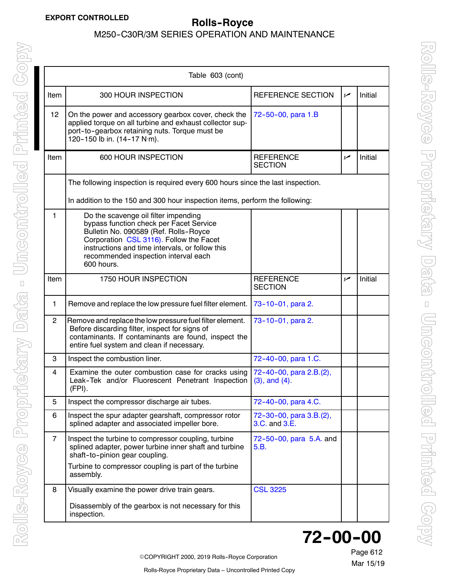<span id="page-5-0"></span>

|                | Table 603 (cont)                                                                                                                                                                                                                                                             |                                                |     |                |  |
|----------------|------------------------------------------------------------------------------------------------------------------------------------------------------------------------------------------------------------------------------------------------------------------------------|------------------------------------------------|-----|----------------|--|
| ltem           | 300 HOUR INSPECTION                                                                                                                                                                                                                                                          | <b>REFERENCE SECTION</b>                       | مما | <b>Initial</b> |  |
| 12             | On the power and accessory gearbox cover, check the<br>applied torque on all turbine and exhaust collector sup-<br>port-to-gearbox retaining nuts. Torque must be<br>120-150 lb in. (14-17 N·m).                                                                             | 72-50-00, para 1.B                             |     |                |  |
| Item           | 600 HOUR INSPECTION                                                                                                                                                                                                                                                          | <b>REFERENCE</b><br><b>SECTION</b>             | سما | Initial        |  |
|                | The following inspection is required every 600 hours since the last inspection.                                                                                                                                                                                              |                                                |     |                |  |
|                | In addition to the 150 and 300 hour inspection items, perform the following:                                                                                                                                                                                                 |                                                |     |                |  |
| 1              | Do the scavenge oil filter impending<br>bypass function check per Facet Service<br>Bulletin No. 090589 (Ref. Rolls-Royce<br>Corporation CSL 3116). Follow the Facet<br>instructions and time intervals, or follow this<br>recommended inspection interval each<br>600 hours. |                                                |     |                |  |
| Item           | 1750 HOUR INSPECTION                                                                                                                                                                                                                                                         | <b>REFERENCE</b><br><b>SECTION</b>             | سما | Initial        |  |
| 1              | Remove and replace the low pressure fuel filter element.                                                                                                                                                                                                                     | 73-10-01, para 2.                              |     |                |  |
| $\overline{2}$ | Remove and replace the low pressure fuel filter element.<br>Before discarding filter, inspect for signs of<br>contaminants. If contaminants are found, inspect the<br>entire fuel system and clean if necessary.                                                             | 73-10-01, para 2.                              |     |                |  |
| 3              | Inspect the combustion liner.                                                                                                                                                                                                                                                | 72-40-00, para 1.C.                            |     |                |  |
| 4              | Examine the outer combustion case for cracks using<br>Leak-Tek and/or Fluorescent Penetrant Inspection<br>(FPI).                                                                                                                                                             | 72-40-00, para 2.B.(2),<br>$(3)$ , and $(4)$ . |     |                |  |
| 5              | Inspect the compressor discharge air tubes.                                                                                                                                                                                                                                  | 72-40-00, para 4.C.                            |     |                |  |
| 6              | Inspect the spur adapter gearshaft, compressor rotor<br>splined adapter and associated impeller bore.                                                                                                                                                                        | 72-30-00, para 3.B.(2),<br>3.C. and 3.E.       |     |                |  |
| $\overline{7}$ | Inspect the turbine to compressor coupling, turbine<br>splined adapter, power turbine inner shaft and turbine<br>shaft-to-pinion gear coupling.                                                                                                                              | 72-50-00, para 5.A. and<br>5.B.                |     |                |  |
|                | Turbine to compressor coupling is part of the turbine<br>assembly.                                                                                                                                                                                                           |                                                |     |                |  |
| 8              | Visually examine the power drive train gears.                                                                                                                                                                                                                                | <b>CSL 3225</b>                                |     |                |  |
|                | Disassembly of the gearbox is not necessary for this<br>inspection.                                                                                                                                                                                                          |                                                |     |                |  |

# **72--00--00**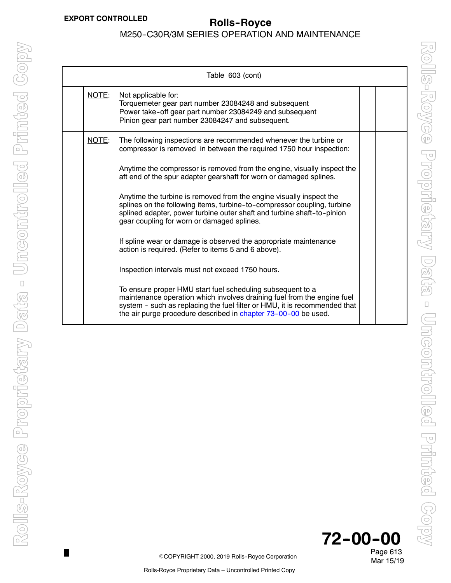<span id="page-6-0"></span>

| Table 603 (cont) |              |                                                                                                                                                                                                                                                                                                                                                                                                                                                                                                                                                                                                                                                                                                                                                                                                                                                                                             |  |  |
|------------------|--------------|---------------------------------------------------------------------------------------------------------------------------------------------------------------------------------------------------------------------------------------------------------------------------------------------------------------------------------------------------------------------------------------------------------------------------------------------------------------------------------------------------------------------------------------------------------------------------------------------------------------------------------------------------------------------------------------------------------------------------------------------------------------------------------------------------------------------------------------------------------------------------------------------|--|--|
|                  | NOTE:        | Not applicable for:<br>Torquemeter gear part number 23084248 and subsequent<br>Power take-off gear part number 23084249 and subsequent<br>Pinion gear part number 23084247 and subsequent.                                                                                                                                                                                                                                                                                                                                                                                                                                                                                                                                                                                                                                                                                                  |  |  |
|                  | <u>NOTE:</u> | The following inspections are recommended whenever the turbine or<br>compressor is removed in between the required 1750 hour inspection:<br>Anytime the compressor is removed from the engine, visually inspect the<br>aft end of the spur adapter gearshaft for worn or damaged splines.<br>Anytime the turbine is removed from the engine visually inspect the<br>splines on the following items, turbine-to-compressor coupling, turbine<br>splined adapter, power turbine outer shaft and turbine shaft-to-pinion<br>gear coupling for worn or damaged splines.<br>If spline wear or damage is observed the appropriate maintenance<br>action is required. (Refer to items 5 and 6 above).<br>Inspection intervals must not exceed 1750 hours.<br>To ensure proper HMU start fuel scheduling subsequent to a<br>maintenance operation which involves draining fuel from the engine fuel |  |  |
|                  |              | system - such as replacing the fuel filter or HMU, it is recommended that<br>the air purge procedure described in chapter 73-00-00 be used.                                                                                                                                                                                                                                                                                                                                                                                                                                                                                                                                                                                                                                                                                                                                                 |  |  |



Mar 15/19 Page 613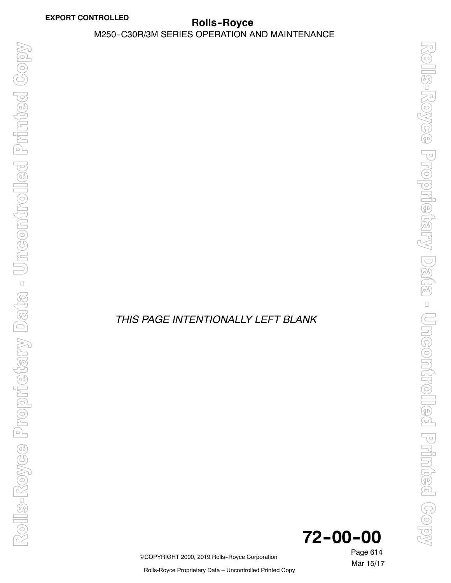*THIS PAGE INTENTIONALLY LEFT BLANK*



Mar 15/17 Page 614

©COPYRIGHT 2000, 2019 Rolls-Royce Corporation

Rolls-Royce Proprietary Data – Uncontrolled Printed Copy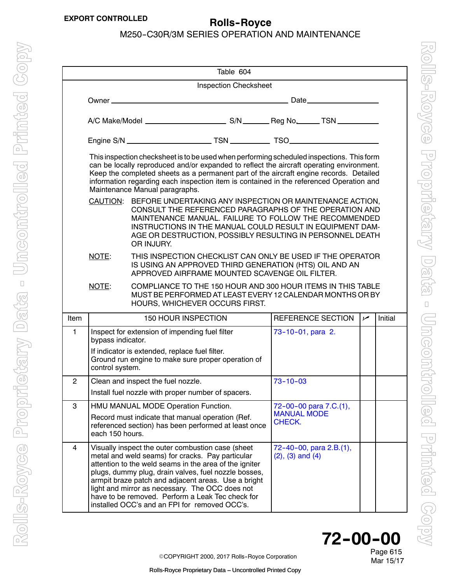<span id="page-8-0"></span>

|                |                                                                                                                                                                                                                                                                                                                              |                                                                                                                                                                                                                                                                                                                                                                                                                                        | Table 604 |                                                                                                                                                                                                                                                                                                                                                                            |            |         |
|----------------|------------------------------------------------------------------------------------------------------------------------------------------------------------------------------------------------------------------------------------------------------------------------------------------------------------------------------|----------------------------------------------------------------------------------------------------------------------------------------------------------------------------------------------------------------------------------------------------------------------------------------------------------------------------------------------------------------------------------------------------------------------------------------|-----------|----------------------------------------------------------------------------------------------------------------------------------------------------------------------------------------------------------------------------------------------------------------------------------------------------------------------------------------------------------------------------|------------|---------|
|                | <b>Inspection Checksheet</b>                                                                                                                                                                                                                                                                                                 |                                                                                                                                                                                                                                                                                                                                                                                                                                        |           |                                                                                                                                                                                                                                                                                                                                                                            |            |         |
|                | Owner $\_\_$                                                                                                                                                                                                                                                                                                                 |                                                                                                                                                                                                                                                                                                                                                                                                                                        |           | <u> External and Secretary Contract Date</u>                                                                                                                                                                                                                                                                                                                               |            |         |
|                |                                                                                                                                                                                                                                                                                                                              |                                                                                                                                                                                                                                                                                                                                                                                                                                        |           |                                                                                                                                                                                                                                                                                                                                                                            |            |         |
|                |                                                                                                                                                                                                                                                                                                                              |                                                                                                                                                                                                                                                                                                                                                                                                                                        |           |                                                                                                                                                                                                                                                                                                                                                                            |            |         |
|                |                                                                                                                                                                                                                                                                                                                              | Maintenance Manual paragraphs.                                                                                                                                                                                                                                                                                                                                                                                                         |           | This inspection checksheet is to be used when performing scheduled inspections. This form<br>can be locally reproduced and/or expanded to reflect the aircraft operating environment.<br>Keep the completed sheets as a permanent part of the aircraft engine records. Detailed<br>information regarding each inspection item is contained in the referenced Operation and |            |         |
|                | CAUTION: BEFORE UNDERTAKING ANY INSPECTION OR MAINTENANCE ACTION,<br>CONSULT THE REFERENCED PARAGRAPHS OF THE OPERATION AND<br>MAINTENANCE MANUAL. FAILURE TO FOLLOW THE RECOMMENDED<br>INSTRUCTIONS IN THE MANUAL COULD RESULT IN EQUIPMENT DAM-<br>AGE OR DESTRUCTION, POSSIBLY RESULTING IN PERSONNEL DEATH<br>OR INJURY. |                                                                                                                                                                                                                                                                                                                                                                                                                                        |           |                                                                                                                                                                                                                                                                                                                                                                            |            |         |
|                | NOTE:                                                                                                                                                                                                                                                                                                                        | APPROVED AIRFRAME MOUNTED SCAVENGE OIL FILTER.                                                                                                                                                                                                                                                                                                                                                                                         |           | THIS INSPECTION CHECKLIST CAN ONLY BE USED IF THE OPERATOR<br>IS USING AN APPROVED THIRD GENERATION (HTS) OIL AND AN                                                                                                                                                                                                                                                       |            |         |
|                | NOTE:                                                                                                                                                                                                                                                                                                                        | HOURS, WHICHEVER OCCURS FIRST.                                                                                                                                                                                                                                                                                                                                                                                                         |           | COMPLIANCE TO THE 150 HOUR AND 300 HOUR ITEMS IN THIS TABLE<br>MUST BE PERFORMED AT LEAST EVERY 12 CALENDAR MONTHS OR BY                                                                                                                                                                                                                                                   |            |         |
| Item           |                                                                                                                                                                                                                                                                                                                              | <b>150 HOUR INSPECTION</b>                                                                                                                                                                                                                                                                                                                                                                                                             |           | REFERENCE SECTION                                                                                                                                                                                                                                                                                                                                                          | $\sqrt{ }$ | Initial |
| $\mathbf{1}$   | bypass indicator.                                                                                                                                                                                                                                                                                                            | Inspect for extension of impending fuel filter                                                                                                                                                                                                                                                                                                                                                                                         |           | 73-10-01, para 2.                                                                                                                                                                                                                                                                                                                                                          |            |         |
|                | control system.                                                                                                                                                                                                                                                                                                              | If indicator is extended, replace fuel filter.<br>Ground run engine to make sure proper operation of                                                                                                                                                                                                                                                                                                                                   |           |                                                                                                                                                                                                                                                                                                                                                                            |            |         |
| $\overline{c}$ |                                                                                                                                                                                                                                                                                                                              | Clean and inspect the fuel nozzle.                                                                                                                                                                                                                                                                                                                                                                                                     |           | $73 - 10 - 03$                                                                                                                                                                                                                                                                                                                                                             |            |         |
|                |                                                                                                                                                                                                                                                                                                                              | Install fuel nozzle with proper number of spacers.                                                                                                                                                                                                                                                                                                                                                                                     |           |                                                                                                                                                                                                                                                                                                                                                                            |            |         |
| 3              |                                                                                                                                                                                                                                                                                                                              | HMU MANUAL MODE Operation Function.                                                                                                                                                                                                                                                                                                                                                                                                    |           | 72-00-00 para 7.C.(1),                                                                                                                                                                                                                                                                                                                                                     |            |         |
|                | each 150 hours.                                                                                                                                                                                                                                                                                                              | Record must indicate that manual operation (Ref.<br>referenced section) has been performed at least once                                                                                                                                                                                                                                                                                                                               |           | <b>MANUAL MODE</b><br>CHECK.                                                                                                                                                                                                                                                                                                                                               |            |         |
| 4              |                                                                                                                                                                                                                                                                                                                              | Visually inspect the outer combustion case (sheet<br>metal and weld seams) for cracks. Pay particular<br>attention to the weld seams in the area of the igniter<br>plugs, dummy plug, drain valves, fuel nozzle bosses,<br>armpit braze patch and adjacent areas. Use a bright<br>light and mirror as necessary. The OCC does not<br>have to be removed. Perform a Leak Tec check for<br>installed OCC's and an FPI for removed OCC's. |           | 72-40-00, para 2.B.(1),<br>$(2)$ , $(3)$ and $(4)$                                                                                                                                                                                                                                                                                                                         |            |         |

## Page 615 **72--00--00**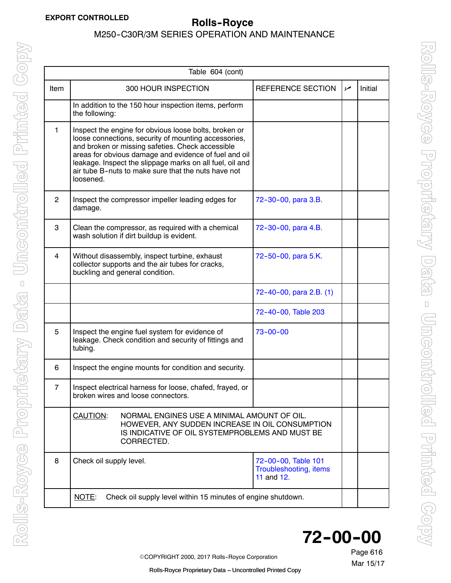|                | Table 604 (cont)                                                                                                                                                                                                                                                                                                                                           |                                                             |     |         |  |
|----------------|------------------------------------------------------------------------------------------------------------------------------------------------------------------------------------------------------------------------------------------------------------------------------------------------------------------------------------------------------------|-------------------------------------------------------------|-----|---------|--|
| Item           | 300 HOUR INSPECTION                                                                                                                                                                                                                                                                                                                                        | <b>REFERENCE SECTION</b>                                    | سما | Initial |  |
|                | In addition to the 150 hour inspection items, perform<br>the following:                                                                                                                                                                                                                                                                                    |                                                             |     |         |  |
| $\mathbf{1}$   | Inspect the engine for obvious loose bolts, broken or<br>loose connections, security of mounting accessories,<br>and broken or missing safeties. Check accessible<br>areas for obvious damage and evidence of fuel and oil<br>leakage. Inspect the slippage marks on all fuel, oil and<br>air tube B-nuts to make sure that the nuts have not<br>loosened. |                                                             |     |         |  |
| $\overline{2}$ | Inspect the compressor impeller leading edges for<br>damage.                                                                                                                                                                                                                                                                                               | 72-30-00, para 3.B.                                         |     |         |  |
| 3              | Clean the compressor, as required with a chemical<br>wash solution if dirt buildup is evident.                                                                                                                                                                                                                                                             | 72-30-00, para 4.B.                                         |     |         |  |
| 4              | Without disassembly, inspect turbine, exhaust<br>collector supports and the air tubes for cracks,<br>buckling and general condition.                                                                                                                                                                                                                       | 72-50-00, para 5.K.                                         |     |         |  |
|                |                                                                                                                                                                                                                                                                                                                                                            | 72-40-00, para 2.B. (1)                                     |     |         |  |
|                |                                                                                                                                                                                                                                                                                                                                                            | 72-40-00, Table 203                                         |     |         |  |
| 5              | Inspect the engine fuel system for evidence of<br>leakage. Check condition and security of fittings and<br>tubing.                                                                                                                                                                                                                                         | $73 - 00 - 00$                                              |     |         |  |
| 6              | Inspect the engine mounts for condition and security.                                                                                                                                                                                                                                                                                                      |                                                             |     |         |  |
| 7              | Inspect electrical harness for loose, chafed, frayed, or<br>broken wires and loose connectors.                                                                                                                                                                                                                                                             |                                                             |     |         |  |
|                | <b>CAUTION:</b><br>NORMAL ENGINES USE A MINIMAL AMOUNT OF OIL.<br>HOWEVER, ANY SUDDEN INCREASE IN OIL CONSUMPTION<br>IS INDICATIVE OF OIL SYSTEMPROBLEMS AND MUST BE<br>CORRECTED.                                                                                                                                                                         |                                                             |     |         |  |
| 8              | Check oil supply level.                                                                                                                                                                                                                                                                                                                                    | 72-00-00, Table 101<br>Troubleshooting, items<br>11 and 12. |     |         |  |
|                | Check oil supply level within 15 minutes of engine shutdown.<br><u>NOTE:</u>                                                                                                                                                                                                                                                                               |                                                             |     |         |  |

**72--00--00**

©COPYRIGHT 2000, 2017 Rolls-Royce Corporation

Mar 15/17 Page 616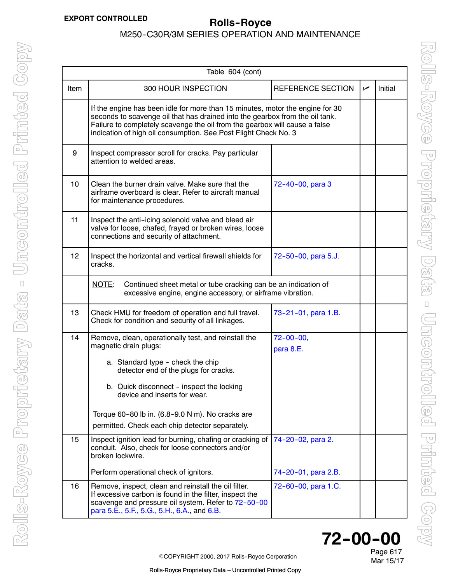## <span id="page-10-0"></span>**Rolls--Royce EXPORT CONTROLLED**

## M250-C30R/3M SERIES OPERATION AND MAINTENANCE

|      | Table 604 (cont)                                                                                                                                                                                                                                                                                               |                              |     |         |  |
|------|----------------------------------------------------------------------------------------------------------------------------------------------------------------------------------------------------------------------------------------------------------------------------------------------------------------|------------------------------|-----|---------|--|
| Item | 300 HOUR INSPECTION                                                                                                                                                                                                                                                                                            | REFERENCE SECTION            | سما | Initial |  |
|      | If the engine has been idle for more than 15 minutes, motor the engine for 30<br>seconds to scavenge oil that has drained into the gearbox from the oil tank.<br>Failure to completely scavenge the oil from the gearbox will cause a false<br>indication of high oil consumption. See Post Flight Check No. 3 |                              |     |         |  |
| 9    | Inspect compressor scroll for cracks. Pay particular<br>attention to welded areas.                                                                                                                                                                                                                             |                              |     |         |  |
| 10   | Clean the burner drain valve. Make sure that the<br>airframe overboard is clear. Refer to aircraft manual<br>for maintenance procedures.                                                                                                                                                                       | 72-40-00, para 3             |     |         |  |
| 11   | Inspect the anti-icing solenoid valve and bleed air<br>valve for loose, chafed, frayed or broken wires, loose<br>connections and security of attachment.                                                                                                                                                       |                              |     |         |  |
| 12   | Inspect the horizontal and vertical firewall shields for<br>cracks.                                                                                                                                                                                                                                            | 72-50-00, para 5.J.          |     |         |  |
|      | <u>NOTE:</u><br>Continued sheet metal or tube cracking can be an indication of<br>excessive engine, engine accessory, or airframe vibration.                                                                                                                                                                   |                              |     |         |  |
| 13   | Check HMU for freedom of operation and full travel.<br>Check for condition and security of all linkages.                                                                                                                                                                                                       | 73-21-01, para 1.B.          |     |         |  |
| 14   | Remove, clean, operationally test, and reinstall the<br>magnetic drain plugs:                                                                                                                                                                                                                                  | $72 - 00 - 00,$<br>para 8.E. |     |         |  |
|      | a. Standard type - check the chip<br>detector end of the plugs for cracks.                                                                                                                                                                                                                                     |                              |     |         |  |
|      | b. Quick disconnect - inspect the locking<br>device and inserts for wear.                                                                                                                                                                                                                                      |                              |     |         |  |
|      | Torque 60-80 lb in. (6.8-9.0 N·m). No cracks are                                                                                                                                                                                                                                                               |                              |     |         |  |
|      | permitted. Check each chip detector separately.                                                                                                                                                                                                                                                                |                              |     |         |  |
| 15   | Inspect ignition lead for burning, chafing or cracking of<br>conduit. Also, check for loose connectors and/or<br>broken lockwire.                                                                                                                                                                              | 74-20-02, para 2.            |     |         |  |
|      | Perform operational check of ignitors.                                                                                                                                                                                                                                                                         | 74-20-01, para 2.B.          |     |         |  |
| 16   | Remove, inspect, clean and reinstall the oil filter.<br>If excessive carbon is found in the filter, inspect the<br>scavenge and pressure oil system. Refer to 72-50-00<br>para 5.E., 5.F., 5.G., 5.H., 6.A., and 6.B.                                                                                          | 72-60-00, para 1.C.          |     |         |  |

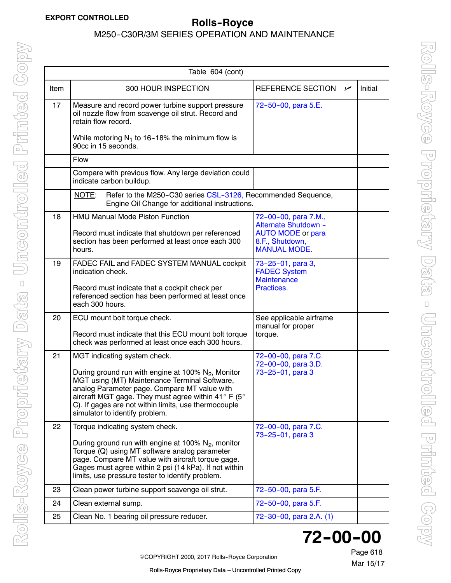<span id="page-11-0"></span>

|      | Table 604 (cont)                                                                                                                                                                                                                                                                                                 |                                                                    |     |         |  |
|------|------------------------------------------------------------------------------------------------------------------------------------------------------------------------------------------------------------------------------------------------------------------------------------------------------------------|--------------------------------------------------------------------|-----|---------|--|
| Item | 300 HOUR INSPECTION                                                                                                                                                                                                                                                                                              | <b>REFERENCE SECTION</b>                                           | مما | Initial |  |
| 17   | Measure and record power turbine support pressure<br>oil nozzle flow from scavenge oil strut. Record and<br>retain flow record.                                                                                                                                                                                  | 72-50-00, para 5.E.                                                |     |         |  |
|      | While motoring $N_1$ to 16-18% the minimum flow is<br>90cc in 15 seconds.                                                                                                                                                                                                                                        |                                                                    |     |         |  |
|      | $Flow_{-}$                                                                                                                                                                                                                                                                                                       |                                                                    |     |         |  |
|      | Compare with previous flow. Any large deviation could<br>indicate carbon buildup.                                                                                                                                                                                                                                |                                                                    |     |         |  |
|      | Refer to the M250-C30 series CSL-3126, Recommended Sequence,<br><u>NOTE:</u><br>Engine Oil Change for additional instructions.                                                                                                                                                                                   |                                                                    |     |         |  |
| 18   | <b>HMU Manual Mode Piston Function</b>                                                                                                                                                                                                                                                                           | 72-00-00, para 7.M.,<br>Alternate Shutdown -                       |     |         |  |
|      | Record must indicate that shutdown per referenced<br>section has been performed at least once each 300<br>hours.                                                                                                                                                                                                 | <b>AUTO MODE or para</b><br>8.F., Shutdown,<br><b>MANUAL MODE.</b> |     |         |  |
| 19   | FADEC FAIL and FADEC SYSTEM MANUAL cockpit<br>indication check.                                                                                                                                                                                                                                                  | 73-25-01, para 3,<br><b>FADEC System</b><br><b>Maintenance</b>     |     |         |  |
|      | Record must indicate that a cockpit check per<br>referenced section has been performed at least once<br>each 300 hours.                                                                                                                                                                                          | Practices.                                                         |     |         |  |
| 20   | ECU mount bolt torque check.                                                                                                                                                                                                                                                                                     | See applicable airframe<br>manual for proper                       |     |         |  |
|      | Record must indicate that this ECU mount bolt torque<br>check was performed at least once each 300 hours.                                                                                                                                                                                                        | torque.                                                            |     |         |  |
| 21   | MGT indicating system check.                                                                                                                                                                                                                                                                                     | 72-00-00, para 7.C.                                                |     |         |  |
|      | During ground run with engine at 100% N <sub>2</sub> , Monitor<br>MGT using (MT) Maintenance Terminal Software,<br>analog Parameter page. Compare MT value with<br>aircraft MGT gage. They must agree within 41° F (5°<br>C). If gages are not within limits, use thermocouple<br>simulator to identify problem. | 72-00-00, para 3.D.<br>73-25-01, para 3                            |     |         |  |
| 22   | Torque indicating system check.                                                                                                                                                                                                                                                                                  | 72-00-00, para 7.C.<br>73-25-01, para 3                            |     |         |  |
|      | During ground run with engine at 100% $N_2$ , monitor<br>Torque (Q) using MT software analog parameter<br>page. Compare MT value with aircraft torque gage.<br>Gages must agree within 2 psi (14 kPa). If not within<br>limits, use pressure tester to identify problem.                                         |                                                                    |     |         |  |
| 23   | Clean power turbine support scavenge oil strut.                                                                                                                                                                                                                                                                  | 72-50-00, para 5.F.                                                |     |         |  |
| 24   | Clean external sump.                                                                                                                                                                                                                                                                                             | 72-50-00, para 5.F.                                                |     |         |  |
| 25   | Clean No. 1 bearing oil pressure reducer.                                                                                                                                                                                                                                                                        | 72-30-00, para 2.A. (1)                                            |     |         |  |

**72--00--00**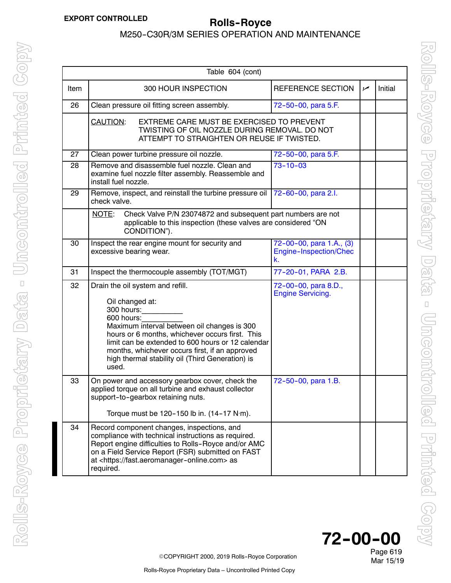|      | Table 604 (cont)                                                                                                                                                                                                                                                                                                                                      |                                                          |     |         |  |
|------|-------------------------------------------------------------------------------------------------------------------------------------------------------------------------------------------------------------------------------------------------------------------------------------------------------------------------------------------------------|----------------------------------------------------------|-----|---------|--|
| Item | 300 HOUR INSPECTION                                                                                                                                                                                                                                                                                                                                   | REFERENCE SECTION                                        | مما | Initial |  |
| 26   | Clean pressure oil fitting screen assembly.                                                                                                                                                                                                                                                                                                           | 72-50-00, para 5.F.                                      |     |         |  |
|      | EXTREME CARE MUST BE EXERCISED TO PREVENT<br>CAUTION:<br>TWISTING OF OIL NOZZLE DURING REMOVAL. DO NOT<br>ATTEMPT TO STRAIGHTEN OR REUSE IF TWISTED.                                                                                                                                                                                                  |                                                          |     |         |  |
| 27   | Clean power turbine pressure oil nozzle.                                                                                                                                                                                                                                                                                                              | 72-50-00, para 5.F.                                      |     |         |  |
| 28   | Remove and disassemble fuel nozzle. Clean and<br>examine fuel nozzle filter assembly. Reassemble and<br>install fuel nozzle.                                                                                                                                                                                                                          | $73 - 10 - 03$                                           |     |         |  |
| 29   | Remove, inspect, and reinstall the turbine pressure oil<br>check valve.                                                                                                                                                                                                                                                                               | 72-60-00, para 2.l.                                      |     |         |  |
|      | NOTE:<br>Check Valve P/N 23074872 and subsequent part numbers are not<br>applicable to this inspection (these valves are considered "ON<br>CONDITION").                                                                                                                                                                                               |                                                          |     |         |  |
| 30   | Inspect the rear engine mount for security and<br>excessive bearing wear.                                                                                                                                                                                                                                                                             | 72-00-00, para 1.A., (3)<br>Engine-Inspection/Chec<br>k. |     |         |  |
| 31   | Inspect the thermocouple assembly (TOT/MGT)                                                                                                                                                                                                                                                                                                           | 77-20-01, PARA 2.B.                                      |     |         |  |
| 32   | Drain the oil system and refill.<br>Oil changed at:<br>300 hours:<br>600 hours:<br>Maximum interval between oil changes is 300<br>hours or 6 months, whichever occurs first. This<br>limit can be extended to 600 hours or 12 calendar<br>months, whichever occurs first, if an approved<br>high thermal stability oil (Third Generation) is<br>used. | 72-00-00, para 8.D.,<br><b>Engine Servicing.</b>         |     |         |  |
| 33   | On power and accessory gearbox cover, check the<br>applied torque on all turbine and exhaust collector<br>support-to-gearbox retaining nuts.<br>Torque must be 120-150 lb in. (14-17 N·m).                                                                                                                                                            | 72-50-00, para 1.B.                                      |     |         |  |
| 34   | Record component changes, inspections, and<br>compliance with technical instructions as required.<br>Report engine difficulties to Rolls-Royce and/or AMC<br>on a Field Service Report (FSR) submitted on FAST<br>at <https: fast.aeromanager-online.com=""> as<br/>required.</https:>                                                                |                                                          |     |         |  |

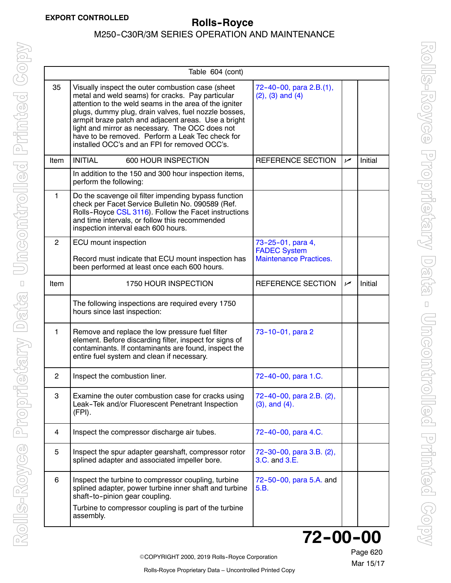<span id="page-13-0"></span>

| Table 604 (cont) |                                                                                                                                                                                                                                                                                                                                                                                                                                        |                                                                           |                |         |  |  |  |  |
|------------------|----------------------------------------------------------------------------------------------------------------------------------------------------------------------------------------------------------------------------------------------------------------------------------------------------------------------------------------------------------------------------------------------------------------------------------------|---------------------------------------------------------------------------|----------------|---------|--|--|--|--|
| 35               | Visually inspect the outer combustion case (sheet<br>metal and weld seams) for cracks. Pay particular<br>attention to the weld seams in the area of the igniter<br>plugs, dummy plug, drain valves, fuel nozzle bosses,<br>armpit braze patch and adjacent areas. Use a bright<br>light and mirror as necessary. The OCC does not<br>have to be removed. Perform a Leak Tec check for<br>installed OCC's and an FPI for removed OCC's. | 72-40-00, para 2.B.(1),<br>$(2)$ , $(3)$ and $(4)$                        |                |         |  |  |  |  |
| Item             | <b>INITIAL</b><br>600 HOUR INSPECTION                                                                                                                                                                                                                                                                                                                                                                                                  | REFERENCE SECTION                                                         |                | Initial |  |  |  |  |
|                  | In addition to the 150 and 300 hour inspection items,<br>perform the following:                                                                                                                                                                                                                                                                                                                                                        |                                                                           |                |         |  |  |  |  |
| 1                | Do the scavenge oil filter impending bypass function<br>check per Facet Service Bulletin No. 090589 (Ref.<br>Rolls-Royce CSL 3116). Follow the Facet instructions<br>and time intervals, or follow this recommended<br>inspection interval each 600 hours.                                                                                                                                                                             |                                                                           |                |         |  |  |  |  |
| $\overline{2}$   | ECU mount inspection<br>Record must indicate that ECU mount inspection has<br>been performed at least once each 600 hours.                                                                                                                                                                                                                                                                                                             | 73-25-01, para 4,<br><b>FADEC System</b><br><b>Maintenance Practices.</b> |                |         |  |  |  |  |
| Item             | 1750 HOUR INSPECTION                                                                                                                                                                                                                                                                                                                                                                                                                   | REFERENCE SECTION                                                         | $\overline{v}$ | Initial |  |  |  |  |
|                  | The following inspections are required every 1750<br>hours since last inspection:                                                                                                                                                                                                                                                                                                                                                      |                                                                           |                |         |  |  |  |  |
| 1.               | Remove and replace the low pressure fuel filter<br>element. Before discarding filter, inspect for signs of<br>contaminants. If contaminants are found, inspect the<br>entire fuel system and clean if necessary.                                                                                                                                                                                                                       | 73-10-01, para 2                                                          |                |         |  |  |  |  |
| $\overline{2}$   | Inspect the combustion liner.                                                                                                                                                                                                                                                                                                                                                                                                          | 72-40-00, para 1.C.                                                       |                |         |  |  |  |  |
| 3                | Examine the outer combustion case for cracks using<br>Leak-Tek and/or Fluorescent Penetrant Inspection<br>(FPI).                                                                                                                                                                                                                                                                                                                       | 72-40-00, para 2.B. (2),<br>$(3)$ , and $(4)$ .                           |                |         |  |  |  |  |
| 4                | Inspect the compressor discharge air tubes.                                                                                                                                                                                                                                                                                                                                                                                            | 72-40-00, para 4.C.                                                       |                |         |  |  |  |  |
| 5                | Inspect the spur adapter gearshaft, compressor rotor<br>splined adapter and associated impeller bore.                                                                                                                                                                                                                                                                                                                                  | 72-30-00, para 3.B. (2),<br>3.C. and 3.E.                                 |                |         |  |  |  |  |
| 6                | Inspect the turbine to compressor coupling, turbine<br>splined adapter, power turbine inner shaft and turbine<br>shaft-to-pinion gear coupling.<br>Turbine to compressor coupling is part of the turbine<br>assembly.                                                                                                                                                                                                                  | 72-50-00, para 5.A. and<br>5.B.                                           |                |         |  |  |  |  |

# **72--00--00**